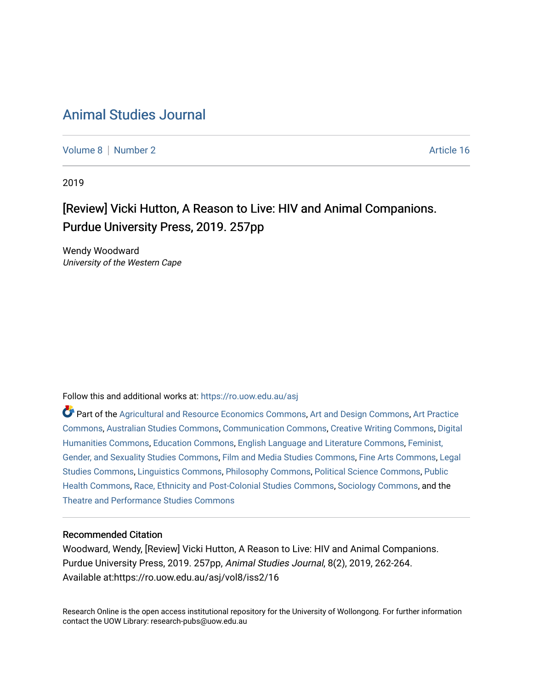# [Animal Studies Journal](https://ro.uow.edu.au/asj)

[Volume 8](https://ro.uow.edu.au/asj/vol8) | [Number 2](https://ro.uow.edu.au/asj/vol8/iss2) Article 16

2019

## [Review] Vicki Hutton, A Reason to Live: HIV and Animal Companions. Purdue University Press, 2019. 257pp

Wendy Woodward University of the Western Cape

Follow this and additional works at: [https://ro.uow.edu.au/asj](https://ro.uow.edu.au/asj?utm_source=ro.uow.edu.au%2Fasj%2Fvol8%2Fiss2%2F16&utm_medium=PDF&utm_campaign=PDFCoverPages) 

Part of the [Agricultural and Resource Economics Commons,](http://network.bepress.com/hgg/discipline/317?utm_source=ro.uow.edu.au%2Fasj%2Fvol8%2Fiss2%2F16&utm_medium=PDF&utm_campaign=PDFCoverPages) [Art and Design Commons](http://network.bepress.com/hgg/discipline/1049?utm_source=ro.uow.edu.au%2Fasj%2Fvol8%2Fiss2%2F16&utm_medium=PDF&utm_campaign=PDFCoverPages), [Art Practice](http://network.bepress.com/hgg/discipline/509?utm_source=ro.uow.edu.au%2Fasj%2Fvol8%2Fiss2%2F16&utm_medium=PDF&utm_campaign=PDFCoverPages) [Commons](http://network.bepress.com/hgg/discipline/509?utm_source=ro.uow.edu.au%2Fasj%2Fvol8%2Fiss2%2F16&utm_medium=PDF&utm_campaign=PDFCoverPages), [Australian Studies Commons,](http://network.bepress.com/hgg/discipline/1020?utm_source=ro.uow.edu.au%2Fasj%2Fvol8%2Fiss2%2F16&utm_medium=PDF&utm_campaign=PDFCoverPages) [Communication Commons,](http://network.bepress.com/hgg/discipline/325?utm_source=ro.uow.edu.au%2Fasj%2Fvol8%2Fiss2%2F16&utm_medium=PDF&utm_campaign=PDFCoverPages) [Creative Writing Commons,](http://network.bepress.com/hgg/discipline/574?utm_source=ro.uow.edu.au%2Fasj%2Fvol8%2Fiss2%2F16&utm_medium=PDF&utm_campaign=PDFCoverPages) [Digital](http://network.bepress.com/hgg/discipline/1286?utm_source=ro.uow.edu.au%2Fasj%2Fvol8%2Fiss2%2F16&utm_medium=PDF&utm_campaign=PDFCoverPages) [Humanities Commons,](http://network.bepress.com/hgg/discipline/1286?utm_source=ro.uow.edu.au%2Fasj%2Fvol8%2Fiss2%2F16&utm_medium=PDF&utm_campaign=PDFCoverPages) [Education Commons,](http://network.bepress.com/hgg/discipline/784?utm_source=ro.uow.edu.au%2Fasj%2Fvol8%2Fiss2%2F16&utm_medium=PDF&utm_campaign=PDFCoverPages) [English Language and Literature Commons](http://network.bepress.com/hgg/discipline/455?utm_source=ro.uow.edu.au%2Fasj%2Fvol8%2Fiss2%2F16&utm_medium=PDF&utm_campaign=PDFCoverPages), [Feminist,](http://network.bepress.com/hgg/discipline/559?utm_source=ro.uow.edu.au%2Fasj%2Fvol8%2Fiss2%2F16&utm_medium=PDF&utm_campaign=PDFCoverPages) [Gender, and Sexuality Studies Commons](http://network.bepress.com/hgg/discipline/559?utm_source=ro.uow.edu.au%2Fasj%2Fvol8%2Fiss2%2F16&utm_medium=PDF&utm_campaign=PDFCoverPages), [Film and Media Studies Commons](http://network.bepress.com/hgg/discipline/563?utm_source=ro.uow.edu.au%2Fasj%2Fvol8%2Fiss2%2F16&utm_medium=PDF&utm_campaign=PDFCoverPages), [Fine Arts Commons,](http://network.bepress.com/hgg/discipline/1141?utm_source=ro.uow.edu.au%2Fasj%2Fvol8%2Fiss2%2F16&utm_medium=PDF&utm_campaign=PDFCoverPages) [Legal](http://network.bepress.com/hgg/discipline/366?utm_source=ro.uow.edu.au%2Fasj%2Fvol8%2Fiss2%2F16&utm_medium=PDF&utm_campaign=PDFCoverPages)  [Studies Commons,](http://network.bepress.com/hgg/discipline/366?utm_source=ro.uow.edu.au%2Fasj%2Fvol8%2Fiss2%2F16&utm_medium=PDF&utm_campaign=PDFCoverPages) [Linguistics Commons,](http://network.bepress.com/hgg/discipline/371?utm_source=ro.uow.edu.au%2Fasj%2Fvol8%2Fiss2%2F16&utm_medium=PDF&utm_campaign=PDFCoverPages) [Philosophy Commons](http://network.bepress.com/hgg/discipline/525?utm_source=ro.uow.edu.au%2Fasj%2Fvol8%2Fiss2%2F16&utm_medium=PDF&utm_campaign=PDFCoverPages), [Political Science Commons](http://network.bepress.com/hgg/discipline/386?utm_source=ro.uow.edu.au%2Fasj%2Fvol8%2Fiss2%2F16&utm_medium=PDF&utm_campaign=PDFCoverPages), [Public](http://network.bepress.com/hgg/discipline/738?utm_source=ro.uow.edu.au%2Fasj%2Fvol8%2Fiss2%2F16&utm_medium=PDF&utm_campaign=PDFCoverPages) [Health Commons,](http://network.bepress.com/hgg/discipline/738?utm_source=ro.uow.edu.au%2Fasj%2Fvol8%2Fiss2%2F16&utm_medium=PDF&utm_campaign=PDFCoverPages) [Race, Ethnicity and Post-Colonial Studies Commons,](http://network.bepress.com/hgg/discipline/566?utm_source=ro.uow.edu.au%2Fasj%2Fvol8%2Fiss2%2F16&utm_medium=PDF&utm_campaign=PDFCoverPages) [Sociology Commons](http://network.bepress.com/hgg/discipline/416?utm_source=ro.uow.edu.au%2Fasj%2Fvol8%2Fiss2%2F16&utm_medium=PDF&utm_campaign=PDFCoverPages), and the [Theatre and Performance Studies Commons](http://network.bepress.com/hgg/discipline/552?utm_source=ro.uow.edu.au%2Fasj%2Fvol8%2Fiss2%2F16&utm_medium=PDF&utm_campaign=PDFCoverPages) 

### Recommended Citation

Woodward, Wendy, [Review] Vicki Hutton, A Reason to Live: HIV and Animal Companions. Purdue University Press, 2019. 257pp, Animal Studies Journal, 8(2), 2019, 262-264. Available at:https://ro.uow.edu.au/asj/vol8/iss2/16

Research Online is the open access institutional repository for the University of Wollongong. For further information contact the UOW Library: research-pubs@uow.edu.au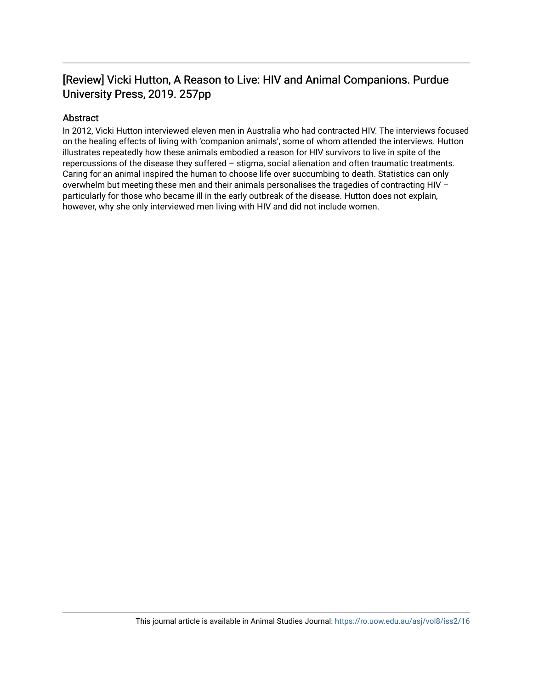## [Review] Vicki Hutton, A Reason to Live: HIV and Animal Companions. Purdue University Press, 2019. 257pp

## Abstract

In 2012, Vicki Hutton interviewed eleven men in Australia who had contracted HIV. The interviews focused on the healing effects of living with 'companion animals', some of whom attended the interviews. Hutton illustrates repeatedly how these animals embodied a reason for HIV survivors to live in spite of the repercussions of the disease they suffered – stigma, social alienation and often traumatic treatments. Caring for an animal inspired the human to choose life over succumbing to death. Statistics can only overwhelm but meeting these men and their animals personalises the tragedies of contracting HIV – particularly for those who became ill in the early outbreak of the disease. Hutton does not explain, however, why she only interviewed men living with HIV and did not include women.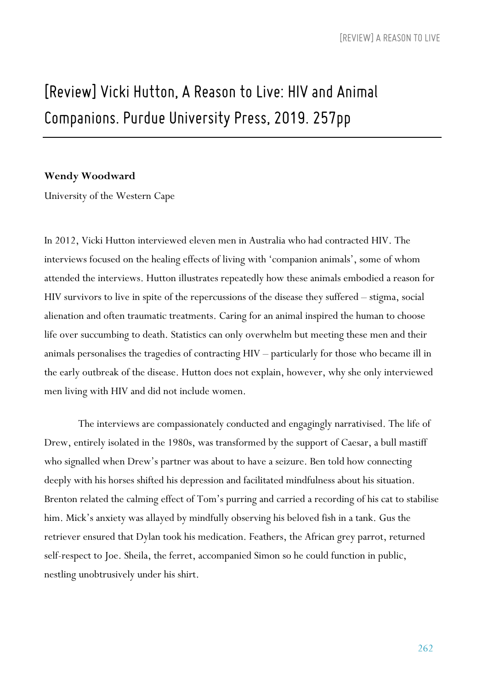# *[Review] Vicki Hutton, A Reasonto Live: HIV and Animal Companions. Purdue University Press, 2019. 257pp*

#### **Wendy Woodward**

University of the Western Cape

In 2012, Vicki Hutton interviewed eleven men in Australia who had contracted HIV. The interviews focused on the healing effects of living with 'companion animals', some of whom attended the interviews. Hutton illustrates repeatedly how these animals embodied a reason for HIV survivors to live in spite of the repercussions of the disease they suffered – stigma, social alienation and often traumatic treatments. Caring for an animal inspired the human to choose life over succumbing to death. Statistics can only overwhelm but meeting these men and their animals personalises the tragedies of contracting HIV – particularly for those who became ill in the early outbreak of the disease. Hutton does not explain, however, why she only interviewed men living with HIV and did not include women.

The interviews are compassionately conducted and engagingly narrativised. The life of Drew, entirely isolated in the 1980s, was transformed by the support of Caesar, a bull mastiff who signalled when Drew's partner was about to have a seizure. Ben told how connecting deeply with his horses shifted his depression and facilitated mindfulness about his situation. Brenton related the calming effect of Tom's purring and carried a recording of his cat to stabilise him. Mick's anxiety was allayed by mindfully observing his beloved fish in a tank. Gus the retriever ensured that Dylan took his medication. Feathers, the African grey parrot, returned self-respect to Joe. Sheila, the ferret, accompanied Simon so he could function in public, nestling unobtrusively under his shirt.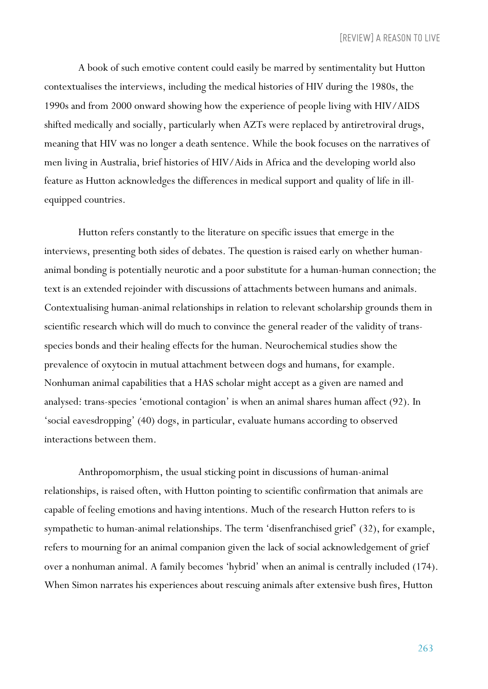A book of such emotive content could easily be marred by sentimentality but Hutton contextualises the interviews, including the medical histories of HIV during the 1980s, the 1990s and from 2000 onward showing how the experience of people living with HIV/AIDS shifted medically and socially, particularly when AZTs were replaced by antiretroviral drugs, meaning that HIV was no longer a death sentence. While the book focuses on the narratives of men living in Australia, brief histories of HIV/Aids in Africa and the developing world also feature as Hutton acknowledges the differences in medical support and quality of life in illequipped countries.

Hutton refers constantly to the literature on specific issues that emerge in the interviews, presenting both sides of debates. The question is raised early on whether humananimal bonding is potentially neurotic and a poor substitute for a human-human connection; the text is an extended rejoinder with discussions of attachments between humans and animals. Contextualising human-animal relationships in relation to relevant scholarship grounds them in scientific research which will do much to convince the general reader of the validity of transspecies bonds and their healing effects for the human. Neurochemical studies show the prevalence of oxytocin in mutual attachment between dogs and humans, for example. Nonhuman animal capabilities that a HAS scholar might accept as a given are named and analysed: trans-species 'emotional contagion' is when an animal shares human affect (92). In 'social eavesdropping' (40) dogs, in particular, evaluate humans according to observed interactions between them.

Anthropomorphism, the usual sticking point in discussions of human-animal relationships, is raised often, with Hutton pointing to scientific confirmation that animals are capable of feeling emotions and having intentions. Much of the research Hutton refers to is sympathetic to human-animal relationships. The term 'disenfranchised grief' (32), for example, refers to mourning for an animal companion given the lack of social acknowledgement of grief over a nonhuman animal. A family becomes 'hybrid' when an animal is centrally included (174). When Simon narrates his experiences about rescuing animals after extensive bush fires, Hutton